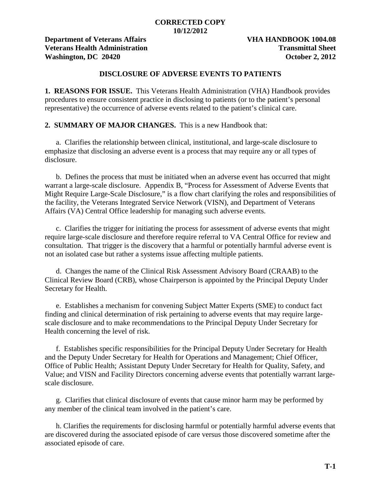### **CORRECTED COPY 10/12/2012**

**Department of Veterans Affairs VHA HANDBOOK 1004.08 Veterans Health Administration Transmittal Sheet Washington, DC 20420 October 2, 2012**

# **DISCLOSURE OF ADVERSE EVENTS TO PATIENTS**

**1. REASONS FOR ISSUE.** This Veterans Health Administration (VHA) Handbook provides procedures to ensure consistent practice in disclosing to patients (or to the patient's personal representative) the occurrence of adverse events related to the patient's clinical care.

**2. SUMMARY OF MAJOR CHANGES.** This is a new Handbook that:

a. Clarifies the relationship between clinical, institutional, and large-scale disclosure to emphasize that disclosing an adverse event is a process that may require any or all types of disclosure.

b. Defines the process that must be initiated when an adverse event has occurred that might warrant a large-scale disclosure. Appendix B, "Process for Assessment of Adverse Events that Might Require Large-Scale Disclosure," is a flow chart clarifying the roles and responsibilities of the facility, the Veterans Integrated Service Network (VISN), and Department of Veterans Affairs (VA) Central Office leadership for managing such adverse events.

c. Clarifies the trigger for initiating the process for assessment of adverse events that might require large-scale disclosure and therefore require referral to VA Central Office for review and consultation. That trigger is the discovery that a harmful or potentially harmful adverse event is not an isolated case but rather a systems issue affecting multiple patients.

d.Changes the name of the Clinical Risk Assessment Advisory Board (CRAAB) to the Clinical Review Board (CRB), whose Chairperson is appointed by the Principal Deputy Under Secretary for Health.

e. Establishes a mechanism for convening Subject Matter Experts (SME) to conduct fact finding and clinical determination of risk pertaining to adverse events that may require largescale disclosure and to make recommendations to the Principal Deputy Under Secretary for Health concerning the level of risk.

f. Establishes specific responsibilities for the Principal Deputy Under Secretary for Health and the Deputy Under Secretary for Health for Operations and Management; Chief Officer, Office of Public Health; Assistant Deputy Under Secretary for Health for Quality, Safety, and Value; and VISN and Facility Directors concerning adverse events that potentially warrant largescale disclosure.

g. Clarifies that clinical disclosure of events that cause minor harm may be performed by any member of the clinical team involved in the patient's care.

h. Clarifies the requirements for disclosing harmful or potentially harmful adverse events that are discovered during the associated episode of care versus those discovered sometime after the associated episode of care.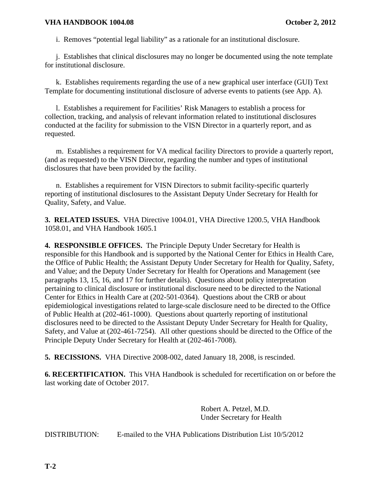i. Removes "potential legal liability" as a rationale for an institutional disclosure.

j. Establishes that clinical disclosures may no longer be documented using the note template for institutional disclosure.

k. Establishes requirements regarding the use of a new graphical user interface (GUI) Text Template for documenting institutional disclosure of adverse events to patients (see App. A).

l. Establishes a requirement for Facilities' Risk Managers to establish a process for collection, tracking, and analysis of relevant information related to institutional disclosures conducted at the facility for submission to the VISN Director in a quarterly report, and as requested.

m. Establishes a requirement for VA medical facility Directors to provide a quarterly report, (and as requested) to the VISN Director, regarding the number and types of institutional disclosures that have been provided by the facility.

n. Establishes a requirement for VISN Directors to submit facility-specific quarterly reporting of institutional disclosures to the Assistant Deputy Under Secretary for Health for Quality, Safety, and Value.

**3. RELATED ISSUES.** VHA Directive 1004.01, VHA Directive 1200.5, VHA Handbook 1058.01, and VHA Handbook 1605.1

**4. RESPONSIBLE OFFICES.** The Principle Deputy Under Secretary for Health is responsible for this Handbook and is supported by the National Center for Ethics in Health Care, the Office of Public Health; the Assistant Deputy Under Secretary for Health for Quality, Safety, and Value; and the Deputy Under Secretary for Health for Operations and Management (see paragraphs 13, 15, 16, and 17 for further details). Questions about policy interpretation pertaining to clinical disclosure or institutional disclosure need to be directed to the National Center for Ethics in Health Care at (202-501-0364). Questions about the CRB or about epidemiological investigations related to large-scale disclosure need to be directed to the Office of Public Health at (202-461-1000). Questions about quarterly reporting of institutional disclosures need to be directed to the Assistant Deputy Under Secretary for Health for Quality, Safety, and Value at (202-461-7254). All other questions should be directed to the Office of the Principle Deputy Under Secretary for Health at (202-461-7008).

**5. RECISSIONS.** VHA Directive 2008-002, dated January 18, 2008, is rescinded.

**6. RECERTIFICATION.** This VHA Handbook is scheduled for recertification on or before the last working date of October 2017.

> Robert A. Petzel, M.D. Under Secretary for Health

DISTRIBUTION: E-mailed to the VHA Publications Distribution List 10/5/2012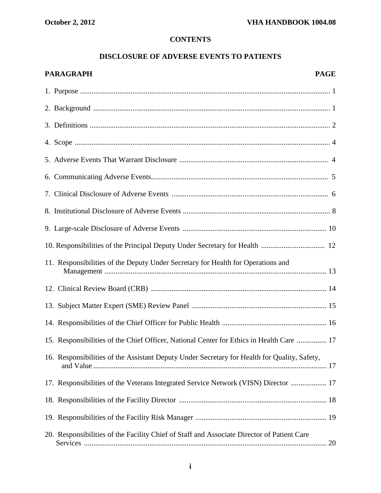# **CONTENTS**

# **DISCLOSURE OF ADVERSE EVENTS TO PATIENTS**

| PARAGRAPH | <b>PAGE</b> |
|-----------|-------------|
|           |             |

| 11. Responsibilities of the Deputy Under Secretary for Health for Operations and             |  |
|----------------------------------------------------------------------------------------------|--|
|                                                                                              |  |
|                                                                                              |  |
|                                                                                              |  |
| 15. Responsibilities of the Chief Officer, National Center for Ethics in Health Care  17     |  |
| 16. Responsibilities of the Assistant Deputy Under Secretary for Health for Quality, Safety, |  |
| 17. Responsibilities of the Veterans Integrated Service Network (VISN) Director  17          |  |
|                                                                                              |  |
|                                                                                              |  |
| 20. Responsibilities of the Facility Chief of Staff and Associate Director of Patient Care   |  |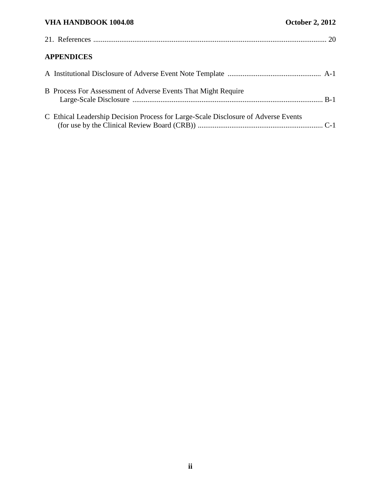| <b>APPENDICES</b>                                                                  |  |
|------------------------------------------------------------------------------------|--|
|                                                                                    |  |
| B Process For Assessment of Adverse Events That Might Require                      |  |
| C Ethical Leadership Decision Process for Large-Scale Disclosure of Adverse Events |  |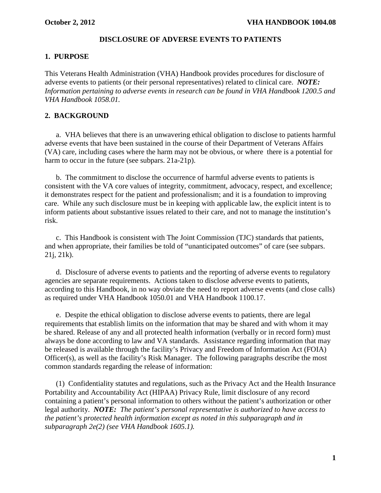### **DISCLOSURE OF ADVERSE EVENTS TO PATIENTS**

#### **1. PURPOSE**

This Veterans Health Administration (VHA) Handbook provides procedures for disclosure of adverse events to patients (or their personal representatives) related to clinical care. *NOTE: Information pertaining to adverse events in research can be found in [VHA Handbook 1200.5](http://vaww1.va.gov/vhapublications/ViewPublication.asp?pub_ID=418) and [VHA Handbook 1058.01.](http://vaww1.va.gov/vhapublications/ViewPublication.asp?pub_ID=1199)*

#### **2. BACKGROUND**

a. VHA believes that there is an unwavering ethical obligation to disclose to patients harmful adverse events that have been sustained in the course of their Department of Veterans Affairs (VA) care, including cases where the harm may not be obvious, or where there is a potential for harm to occur in the future (see subpars. 21a-21p).

b. The commitment to disclose the occurrence of harmful adverse events to patients is consistent with the VA core values of integrity, commitment, advocacy, respect, and excellence; it demonstrates respect for the patient and professionalism; and it is a foundation to improving care. While any such disclosure must be in keeping with applicable law, the explicit intent is to inform patients about substantive issues related to their care, and not to manage the institution's risk.

c. This Handbook is consistent with The Joint Commission (TJC) standards that patients, and when appropriate, their families be told of "unanticipated outcomes" of care (see subpars. 21j, 21k).

d. Disclosure of adverse events to patients and the reporting of adverse events to regulatory agencies are separate requirements. Actions taken to disclose adverse events to patients, according to this Handbook, in no way obviate the need to report adverse events (and close calls) as required under [VHA Handbook 1050.01](http://vaww1.va.gov/vhapublications/ViewPublication.asp?pub_ID=374) and VHA Handbook 1100.17.

e. Despite the ethical obligation to disclose adverse events to patients, there are legal requirements that establish limits on the information that may be shared and with whom it may be shared. Release of any and all protected health information (verbally or in record form) must always be done according to law and VA standards. Assistance regarding information that may be released is available through the facility's Privacy and Freedom of Information Act (FOIA) Officer(s), as well as the facility's Risk Manager. The following paragraphs describe the most common standards regarding the release of information:

(1) Confidentiality statutes and regulations, such as the Privacy Act and the Health Insurance Portability and Accountability Act (HIPAA) Privacy Rule, limit disclosure of any record containing a patient's personal information to others without the patient's authorization or other legal authority. *NOTE: The patient's personal representative is authorized to have access to the patient's protected health information except as noted in this subparagraph and in subparagraph 2e(2) (see VHA Handbook 1605.1).*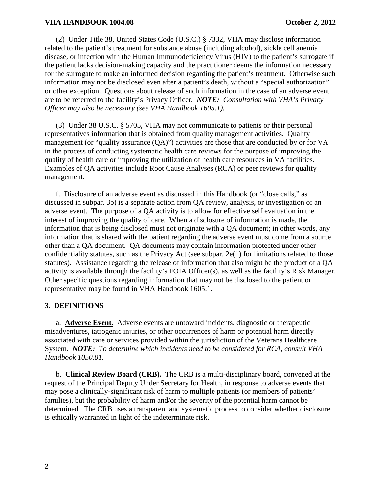(2) Under Title 38, United States Code (U.S.C.) § 7332, VHA may disclose information related to the patient's treatment for substance abuse (including alcohol), sickle cell anemia disease, or infection with the Human Immunodeficiency Virus (HIV) to the patient's surrogate if the patient lacks decision-making capacity and the practitioner deems the information necessary for the surrogate to make an informed decision regarding the patient's treatment. Otherwise such information may not be disclosed even after a patient's death, without a "special authorization" or other exception. Questions about release of such information in the case of an adverse event are to be referred to the facility's Privacy Officer. *NOTE: Consultation with VHA's Privacy Officer may also be necessary (see VHA Handbook 1605.1).*

(3) Under 38 U.S.C. § 5705, VHA may not communicate to patients or their personal representatives information that is obtained from quality management activities. Quality management (or "quality assurance (QA)") activities are those that are conducted by or for VA in the process of conducting systematic health care reviews for the purpose of improving the quality of health care or improving the utilization of health care resources in VA facilities. Examples of QA activities include Root Cause Analyses (RCA) or peer reviews for quality management.

f. Disclosure of an adverse event as discussed in this Handbook (or "close calls," as discussed in subpar. 3b) is a separate action from QA review, analysis, or investigation of an adverse event. The purpose of a QA activity is to allow for effective self evaluation in the interest of improving the quality of care. When a disclosure of information is made, the information that is being disclosed must not originate with a QA document; in other words, any information that is shared with the patient regarding the adverse event must come from a source other than a QA document. QA documents may contain information protected under other confidentiality statutes, such as the Privacy Act (see subpar.  $2e(1)$  for limitations related to those statutes). Assistance regarding the release of information that also might be the product of a QA activity is available through the facility's FOIA Officer(s), as well as the facility's Risk Manager. Other specific questions regarding information that may not be disclosed to the patient or representative may be found in VHA Handbook 1605.1.

# **3. DEFINITIONS**

a. **Adverse Event.** Adverse events are untoward incidents, diagnostic or therapeutic misadventures, iatrogenic injuries, or other occurrences of harm or potential harm directly associated with care or services provided within the jurisdiction of the Veterans Healthcare System. *NOTE: To determine which incidents need to be considered for RCA, consult VHA Handbook 1050.01.* 

b. **Clinical Review Board (CRB).** The CRB is a multi-disciplinary board, convened at the request of the Principal Deputy Under Secretary for Health, in response to adverse events that may pose a clinically-significant risk of harm to multiple patients (or members of patients' families), but the probability of harm and/or the severity of the potential harm cannot be determined. The CRB uses a transparent and systematic process to consider whether disclosure is ethically warranted in light of the indeterminate risk.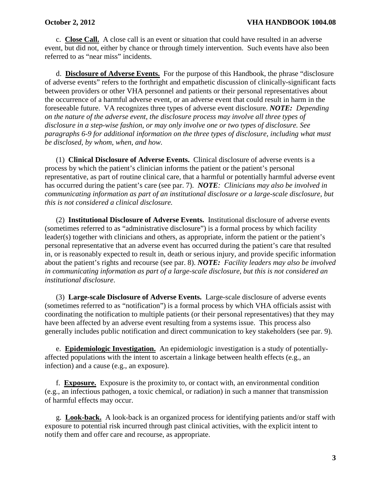c. **Close Call.** A close call is an event or situation that could have resulted in an adverse event, but did not, either by chance or through timely intervention. Such events have also been referred to as "near miss" incidents.

d. **Disclosure of Adverse Events.** For the purpose of this Handbook, the phrase "disclosure of adverse events" refers to the forthright and empathetic discussion of clinically-significant facts between providers or other VHA personnel and patients or their personal representatives about the occurrence of a harmful adverse event, or an adverse event that could result in harm in the foreseeable future. VA recognizes three types of adverse event disclosure. *NOTE: Depending on the nature of the adverse event, the disclosure process may involve all three types of disclosure in a step-wise fashion, or may only involve one or two types of disclosure. See paragraphs 6-9 for additional information on the three types of disclosure, including what must be disclosed, by whom, when, and how.* 

(1) **Clinical Disclosure of Adverse Events.** Clinical disclosure of adverse events is a process by which the patient's clinician informs the patient or the patient's personal representative, as part of routine clinical care, that a harmful or potentially harmful adverse event has occurred during the patient's care (see par. 7). *NOTE: Clinicians may also be involved in communicating information as part of an institutional disclosure or a large-scale disclosure, but this is not considered a clinical disclosure.*

(2) **Institutional Disclosure of Adverse Events.** Institutional disclosure of adverse events (sometimes referred to as "administrative disclosure") is a formal process by which facility leader(s) together with clinicians and others, as appropriate, inform the patient or the patient's personal representative that an adverse event has occurred during the patient's care that resulted in, or is reasonably expected to result in, death or serious injury, and provide specific information about the patient's rights and recourse (see par. 8). *NOTE: Facility leaders may also be involved in communicating information as part of a large-scale disclosure, but this is not considered an institutional disclosure*.

(3) **Large-scale Disclosure of Adverse Events.** Large-scale disclosure of adverse events (sometimes referred to as "notification") is a formal process by which VHA officials assist with coordinating the notification to multiple patients (or their personal representatives) that they may have been affected by an adverse event resulting from a systems issue. This process also generally includes public notification and direct communication to key stakeholders (see par. 9).

e. **Epidemiologic Investigation.** An epidemiologic investigation is a study of potentiallyaffected populations with the intent to ascertain a linkage between health effects (e.g., an infection) and a cause (e.g., an exposure).

f. **Exposure.** Exposure is the proximity to, or contact with, an environmental condition (e.g., an infectious pathogen, a toxic chemical, or radiation) in such a manner that transmission of harmful effects may occur.

g. **Look-back.** A look-back is an organized process for identifying patients and/or staff with exposure to potential risk incurred through past clinical activities, with the explicit intent to notify them and offer care and recourse, as appropriate.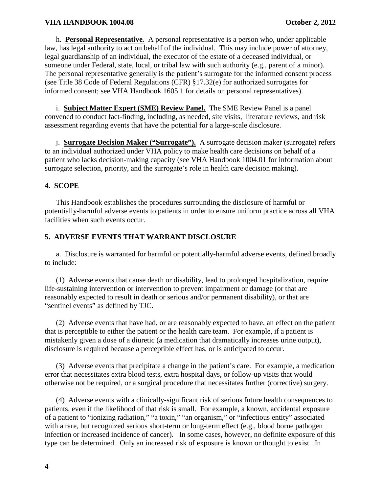h. **Personal Representative***.* A personal representative is a person who, under applicable law, has legal authority to act on behalf of the individual. This may include power of attorney, legal guardianship of an individual, the executor of the estate of a deceased individual, or someone under Federal, state, local, or tribal law with such authority (e.g., parent of a minor). The personal representative generally is the patient's surrogate for the informed consent process (see Title 38 Code of Federal Regulations (CFR) §17.32(e) for authorized surrogates for informed consent; see VHA Handbook 1605.1 for details on personal representatives).

i. **Subject Matter Expert (SME) Review Panel.** The SME Review Panel is a panel convened to conduct fact-finding, including, as needed, site visits, literature reviews, and risk assessment regarding events that have the potential for a large-scale disclosure.

j. **Surrogate Decision Maker ("Surrogate").** A surrogate decision maker (surrogate) refers to an individual authorized under VHA policy to make health care decisions on behalf of a patient who lacks decision-making capacity (see VHA Handbook 1004.01 for information about surrogate selection, priority, and the surrogate's role in health care decision making).

# **4. SCOPE**

This Handbook establishes the procedures surrounding the disclosure of harmful or potentially-harmful adverse events to patients in order to ensure uniform practice across all VHA facilities when such events occur.

# **5. ADVERSE EVENTS THAT WARRANT DISCLOSURE**

a. Disclosure is warranted for harmful or potentially-harmful adverse events, defined broadly to include:

(1) Adverse events that cause death or disability, lead to prolonged hospitalization, require life-sustaining intervention or intervention to prevent impairment or damage (or that are reasonably expected to result in death or serious and/or permanent disability), or that are "sentinel events" as defined by TJC.

(2) Adverse events that have had, or are reasonably expected to have, an effect on the patient that is perceptible to either the patient or the health care team. For example, if a patient is mistakenly given a dose of a diuretic (a medication that dramatically increases urine output), disclosure is required because a perceptible effect has, or is anticipated to occur.

(3) Adverse events that precipitate a change in the patient's care. For example, a medication error that necessitates extra blood tests, extra hospital days, or follow-up visits that would otherwise not be required, or a surgical procedure that necessitates further (corrective) surgery.

(4) Adverse events with a clinically-significant risk of serious future health consequences to patients, even if the likelihood of that risk is small. For example, a known, accidental exposure of a patient to "ionizing radiation," "a toxin," "an organism," or "infectious entity" associated with a rare, but recognized serious short-term or long-term effect (e.g., blood borne pathogen infection or increased incidence of cancer). In some cases, however, no definite exposure of this type can be determined. Only an increased risk of exposure is known or thought to exist. In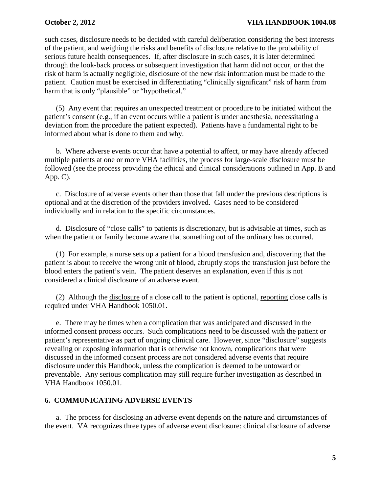#### **October 2, 2012 VHA HANDBOOK 1004.08**

such cases, disclosure needs to be decided with careful deliberation considering the best interests of the patient, and weighing the risks and benefits of disclosure relative to the probability of serious future health consequences. If, after disclosure in such cases, it is later determined through the look-back process or subsequent investigation that harm did not occur, or that the risk of harm is actually negligible, disclosure of the new risk information must be made to the patient. Caution must be exercised in differentiating "clinically significant" risk of harm from harm that is only "plausible" or "hypothetical."

(5) Any event that requires an unexpected treatment or procedure to be initiated without the patient's consent (e.g., if an event occurs while a patient is under anesthesia, necessitating a deviation from the procedure the patient expected). Patients have a fundamental right to be informed about what is done to them and why.

b. Where adverse events occur that have a potential to affect, or may have already affected multiple patients at one or more VHA facilities, the process for large-scale disclosure must be followed (see the process providing the ethical and clinical considerations outlined in App. B and App. C).

c. Disclosure of adverse events other than those that fall under the previous descriptions is optional and at the discretion of the providers involved. Cases need to be considered individually and in relation to the specific circumstances.

d. Disclosure of "close calls" to patients is discretionary, but is advisable at times, such as when the patient or family become aware that something out of the ordinary has occurred.

(1) For example, a nurse sets up a patient for a blood transfusion and, discovering that the patient is about to receive the wrong unit of blood, abruptly stops the transfusion just before the blood enters the patient's vein. The patient deserves an explanation, even if this is not considered a clinical disclosure of an adverse event.

(2) Although the disclosure of a close call to the patient is optional, reporting close calls is required under VHA Handbook 1050.01.

e. There may be times when a complication that was anticipated and discussed in the informed consent process occurs. Such complications need to be discussed with the patient or patient's representative as part of ongoing clinical care. However, since "disclosure" suggests revealing or exposing information that is otherwise not known, complications that were discussed in the informed consent process are not considered adverse events that require disclosure under this Handbook, unless the complication is deemed to be untoward or preventable. Any serious complication may still require further investigation as described in VHA Handbook 1050.01.

# **6. COMMUNICATING ADVERSE EVENTS**

a. The process for disclosing an adverse event depends on the nature and circumstances of the event. VA recognizes three types of adverse event disclosure: clinical disclosure of adverse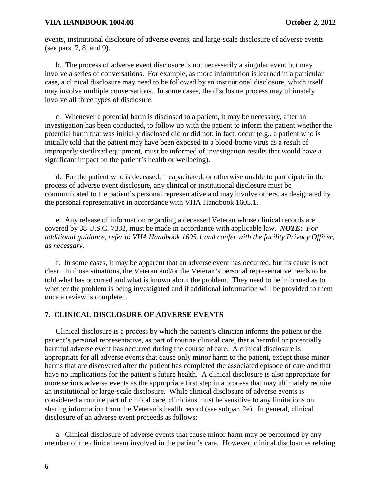events, institutional disclosure of adverse events, and large-scale disclosure of adverse events (see pars. 7, 8, and 9).

b. The process of adverse event disclosure is not necessarily a singular event but may involve a series of conversations. For example, as more information is learned in a particular case, a clinical disclosure may need to be followed by an institutional disclosure, which itself may involve multiple conversations. In some cases, the disclosure process may ultimately involve all three types of disclosure.

c. Whenever a potential harm is disclosed to a patient, it may be necessary, after an investigation has been conducted, to follow up with the patient to inform the patient whether the potential harm that was initially disclosed did or did not, in fact, occur (e.g., a patient who is initially told that the patient may have been exposed to a blood-borne virus as a result of improperly sterilized equipment, must be informed of investigation results that would have a significant impact on the patient's health or wellbeing).

d. For the patient who is deceased, incapacitated, or otherwise unable to participate in the process of adverse event disclosure, any clinical or institutional disclosure must be communicated to the patient's personal representative and may involve others, as designated by the personal representative in accordance with VHA Handbook 1605.1.

e. Any release of information regarding a deceased Veteran whose clinical records are covered by 38 U.S.C. 7332, must be made in accordance with applicable law. *NOTE: For additional guidance, refer to VHA Handbook 1605.1 and confer with the facility Privacy Officer, as necessary.* 

f. In some cases, it may be apparent that an adverse event has occurred, but its cause is not clear. In those situations, the Veteran and/or the Veteran's personal representative needs to be told what has occurred and what is known about the problem. They need to be informed as to whether the problem is being investigated and if additional information will be provided to them once a review is completed.

#### **7. CLINICAL DISCLOSURE OF ADVERSE EVENTS**

Clinical disclosure is a process by which the patient's clinician informs the patient or the patient's personal representative, as part of routine clinical care, that a harmful or potentially harmful adverse event has occurred during the course of care. A clinical disclosure is appropriate for all adverse events that cause only minor harm to the patient, except those minor harms that are discovered after the patient has completed the associated episode of care and that have no implications for the patient's future health. A clinical disclosure is also appropriate for more serious adverse events as the appropriate first step in a process that may ultimately require an institutional or large-scale disclosure. While clinical disclosure of adverse events is considered a routine part of clinical care, clinicians must be sensitive to any limitations on sharing information from the Veteran's health record (see subpar. 2e). In general, clinical disclosure of an adverse event proceeds as follows:

a. Clinical disclosure of adverse events that cause minor harm may be performed by any member of the clinical team involved in the patient's care. However, clinical disclosures relating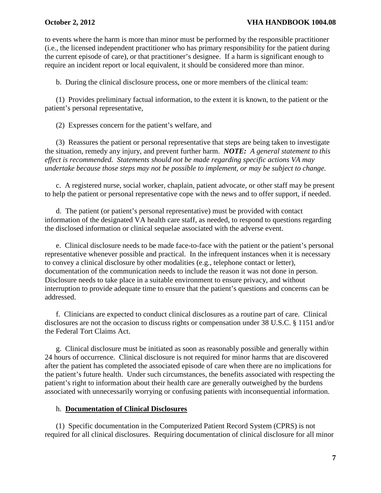to events where the harm is more than minor must be performed by the responsible practitioner (i.e., the licensed independent practitioner who has primary responsibility for the patient during the current episode of care), or that practitioner's designee. If a harm is significant enough to require an incident report or local equivalent, it should be considered more than minor.

b. During the clinical disclosure process, one or more members of the clinical team:

(1) Provides preliminary factual information, to the extent it is known, to the patient or the patient's personal representative,

(2) Expresses concern for the patient's welfare, and

(3) Reassures the patient or personal representative that steps are being taken to investigate the situation, remedy any injury, and prevent further harm. *NOTE: A general statement to this effect is recommended. Statements should not be made regarding specific actions VA may undertake because those steps may not be possible to implement, or may be subject to change.* 

c. A registered nurse, social worker, chaplain, patient advocate, or other staff may be present to help the patient or personal representative cope with the news and to offer support, if needed.

d. The patient (or patient's personal representative) must be provided with contact information of the designated VA health care staff, as needed, to respond to questions regarding the disclosed information or clinical sequelae associated with the adverse event.

e. Clinical disclosure needs to be made face-to-face with the patient or the patient's personal representative whenever possible and practical. In the infrequent instances when it is necessary to convey a clinical disclosure by other modalities (e.g., telephone contact or letter), documentation of the communication needs to include the reason it was not done in person. Disclosure needs to take place in a suitable environment to ensure privacy, and without interruption to provide adequate time to ensure that the patient's questions and concerns can be addressed.

f. Clinicians are expected to conduct clinical disclosures as a routine part of care. Clinical disclosures are not the occasion to discuss rights or compensation under 38 U.S.C. § 1151 and/or the Federal Tort Claims Act.

g. Clinical disclosure must be initiated as soon as reasonably possible and generally within 24 hours of occurrence. Clinical disclosure is not required for minor harms that are discovered after the patient has completed the associated episode of care when there are no implications for the patient's future health. Under such circumstances, the benefits associated with respecting the patient's right to information about their health care are generally outweighed by the burdens associated with unnecessarily worrying or confusing patients with inconsequential information.

### h. **Documentation of Clinical Disclosures**

(1) Specific documentation in the Computerized Patient Record System (CPRS) is not required for all clinical disclosures. Requiring documentation of clinical disclosure for all minor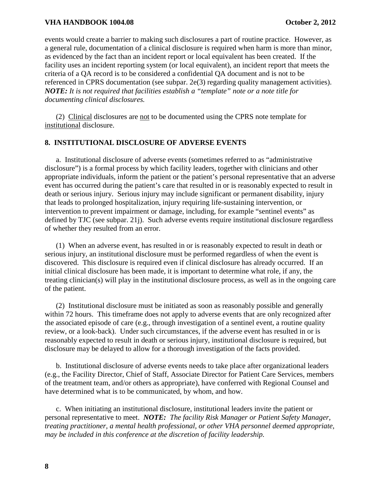events would create a barrier to making such disclosures a part of routine practice. However, as a general rule, documentation of a clinical disclosure is required when harm is more than minor, as evidenced by the fact than an incident report or local equivalent has been created. If the facility uses an incident reporting system (or local equivalent), an incident report that meets the criteria of a QA record is to be considered a confidential QA document and is not to be referenced in CPRS documentation (see subpar. 2e(3) regarding quality management activities). *NOTE: It is not required that facilities establish a "template" note or a note title for documenting clinical disclosures.*

(2) Clinical disclosures are not to be documented using the CPRS note template for institutional disclosure.

#### **8. INSTITUTIONAL DISCLOSURE OF ADVERSE EVENTS**

a. Institutional disclosure of adverse events (sometimes referred to as "administrative disclosure") is a formal process by which facility leaders, together with clinicians and other appropriate individuals, inform the patient or the patient's personal representative that an adverse event has occurred during the patient's care that resulted in or is reasonably expected to result in death or serious injury. Serious injury may include significant or permanent disability, injury that leads to prolonged hospitalization, injury requiring life-sustaining intervention, or intervention to prevent impairment or damage, including, for example "sentinel events" as defined by TJC (see subpar. 21j). Such adverse events require institutional disclosure regardless of whether they resulted from an error.

(1) When an adverse event, has resulted in or is reasonably expected to result in death or serious injury, an institutional disclosure must be performed regardless of when the event is discovered. This disclosure is required even if clinical disclosure has already occurred. If an initial clinical disclosure has been made, it is important to determine what role, if any, the treating clinician(s) will play in the institutional disclosure process, as well as in the ongoing care of the patient.

(2) Institutional disclosure must be initiated as soon as reasonably possible and generally within 72 hours. This timeframe does not apply to adverse events that are only recognized after the associated episode of care (e.g., through investigation of a sentinel event, a routine quality review, or a look-back). Under such circumstances, if the adverse event has resulted in or is reasonably expected to result in death or serious injury, institutional disclosure is required, but disclosure may be delayed to allow for a thorough investigation of the facts provided.

b. Institutional disclosure of adverse events needs to take place after organizational leaders (e.g., the Facility Director, Chief of Staff, Associate Director for Patient Care Services, members of the treatment team, and/or others as appropriate), have conferred with Regional Counsel and have determined what is to be communicated, by whom, and how.

c. When initiating an institutional disclosure, institutional leaders invite the patient or personal representative to meet. *NOTE: The facility Risk Manager or Patient Safety Manager, treating practitioner, a mental health professional, or other VHA personnel deemed appropriate, may be included in this conference at the discretion of facility leadership.*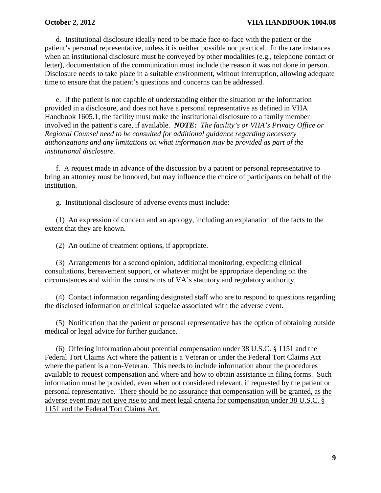d. Institutional disclosure ideally need to be made face-to-face with the patient or the patient's personal representative, unless it is neither possible nor practical. In the rare instances when an institutional disclosure must be conveyed by other modalities (e.g., telephone contact or letter), documentation of the communication must include the reason it was not done in person. Disclosure needs to take place in a suitable environment, without interruption, allowing adequate time to ensure that the patient's questions and concerns can be addressed.

e. If the patient is not capable of understanding either the situation or the information provided in a disclosure, and does not have a personal representative as defined in VHA Handbook 1605.1, the facility must make the institutional disclosure to a family member involved in the patient's care, if available. *NOTE: The facility's or VHA's Privacy Office or Regional Counsel need to be consulted for additional guidance regarding necessary authorizations and any limitations on what information may be provided as part of the institutional disclosure.*

f. A request made in advance of the discussion by a patient or personal representative to bring an attorney must be honored, but may influence the choice of participants on behalf of the institution.

g. Institutional disclosure of adverse events must include:

(1) An expression of concern and an apology, including an explanation of the facts to the extent that they are known.

(2) An outline of treatment options, if appropriate.

(3) Arrangements for a second opinion, additional monitoring, expediting clinical consultations, bereavement support, or whatever might be appropriate depending on the circumstances and within the constraints of VA's statutory and regulatory authority.

(4) Contact information regarding designated staff who are to respond to questions regarding the disclosed information or clinical sequelae associated with the adverse event.

(5) Notification that the patient or personal representative has the option of obtaining outside medical or legal advice for further guidance.

(6) Offering information about potential compensation under 38 U.S.C. § 1151 and the Federal Tort Claims Act where the patient is a Veteran or under the Federal Tort Claims Act where the patient is a non-Veteran. This needs to include information about the procedures available to request compensation and where and how to obtain assistance in filing forms. Such information must be provided, even when not considered relevant, if requested by the patient or personal representative. There should be no assurance that compensation will be granted, as the adverse event may not give rise to and meet legal criteria for compensation under 38 U.S.C. § 1151 and the Federal Tort Claims Act.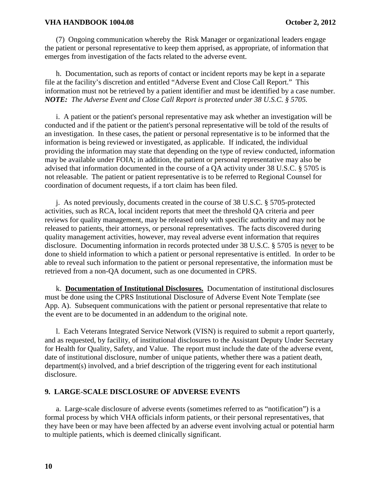(7) Ongoing communication whereby the Risk Manager or organizational leaders engage the patient or personal representative to keep them apprised, as appropriate, of information that emerges from investigation of the facts related to the adverse event.

h. Documentation, such as reports of contact or incident reports may be kept in a separate file at the facility's discretion and entitled "Adverse Event and Close Call Report." This information must not be retrieved by a patient identifier and must be identified by a case number. *NOTE: The Adverse Event and Close Call Report is protected under 38 U.S.C. § 5705.*

i. A patient or the patient's personal representative may ask whether an investigation will be conducted and if the patient or the patient's personal representative will be told of the results of an investigation. In these cases, the patient or personal representative is to be informed that the information is being reviewed or investigated, as applicable. If indicated, the individual providing the information may state that depending on the type of review conducted, information may be available under FOIA; in addition, the patient or personal representative may also be advised that information documented in the course of a QA activity under 38 U.S.C. § 5705 is not releasable. The patient or patient representative is to be referred to Regional Counsel for coordination of document requests, if a tort claim has been filed.

j. As noted previously, documents created in the course of 38 U.S.C. § 5705-protected activities, such as RCA, local incident reports that meet the threshold QA criteria and peer reviews for quality management, may be released only with specific authority and may not be released to patients, their attorneys, or personal representatives. The facts discovered during quality management activities, however, may reveal adverse event information that requires disclosure. Documenting information in records protected under 38 U.S.C. § 5705 is never to be done to shield information to which a patient or personal representative is entitled. In order to be able to reveal such information to the patient or personal representative, the information must be retrieved from a non-QA document, such as one documented in CPRS.

k. **Documentation of Institutional Disclosures.** Documentation of institutional disclosures must be done using the CPRS Institutional Disclosure of Adverse Event Note Template (see App. A). Subsequent communications with the patient or personal representative that relate to the event are to be documented in an addendum to the original note.

l. Each Veterans Integrated Service Network (VISN) is required to submit a report quarterly, and as requested, by facility, of institutional disclosures to the Assistant Deputy Under Secretary for Health for Quality, Safety, and Value. The report must include the date of the adverse event, date of institutional disclosure, number of unique patients, whether there was a patient death, department(s) involved, and a brief description of the triggering event for each institutional disclosure.

#### **9. LARGE-SCALE DISCLOSURE OF ADVERSE EVENTS**

a. Large-scale disclosure of adverse events (sometimes referred to as "notification") is a formal process by which VHA officials inform patients, or their personal representatives, that they have been or may have been affected by an adverse event involving actual or potential harm to multiple patients, which is deemed clinically significant.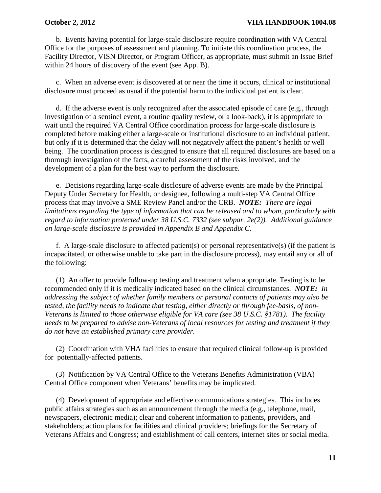b. Events having potential for large-scale disclosure require coordination with VA Central Office for the purposes of assessment and planning. To initiate this coordination process, the Facility Director, VISN Director, or Program Officer, as appropriate, must submit an Issue Brief within 24 hours of discovery of the event (see App. B).

c. When an adverse event is discovered at or near the time it occurs, clinical or institutional disclosure must proceed as usual if the potential harm to the individual patient is clear.

d. If the adverse event is only recognized after the associated episode of care (e.g., through investigation of a sentinel event, a routine quality review, or a look-back), it is appropriate to wait until the required VA Central Office coordination process for large-scale disclosure is completed before making either a large-scale or institutional disclosure to an individual patient, but only if it is determined that the delay will not negatively affect the patient's health or well being. The coordination process is designed to ensure that all required disclosures are based on a thorough investigation of the facts, a careful assessment of the risks involved, and the development of a plan for the best way to perform the disclosure.

e. Decisions regarding large-scale disclosure of adverse events are made by the Principal Deputy Under Secretary for Health, or designee, following a multi-step VA Central Office process that may involve a SME Review Panel and/or the CRB. *NOTE: There are legal limitations regarding the type of information that can be released and to whom, particularly with regard to information protected under 38 U.S.C. 7332 (see subpar. 2e(2)). Additional guidance on large-scale disclosure is provided in Appendix B and Appendix C.*

f*.* A large-scale disclosure to affected patient(s) or personal representative(s) (if the patient is incapacitated, or otherwise unable to take part in the disclosure process), may entail any or all of the following:

(1) An offer to provide follow-up testing and treatment when appropriate. Testing is to be recommended only if it is medically indicated based on the clinical circumstances. *NOTE: In addressing the subject of whether family members or personal contacts of patients may also be tested, the facility needs to indicate that testing, either directly or through fee-basis, of non-Veterans is limited to those otherwise eligible for VA care (see 38 U.S.C. §1781). The facility needs to be prepared to advise non-Veterans of local resources for testing and treatment if they do not have an established primary care provider.*

(2) Coordination with VHA facilities to ensure that required clinical follow-up is provided for potentially-affected patients.

(3) Notification by VA Central Office to the Veterans Benefits Administration (VBA) Central Office component when Veterans' benefits may be implicated.

(4) Development of appropriate and effective communications strategies. This includes public affairs strategies such as an announcement through the media (e.g., telephone, mail, newspapers, electronic media); clear and coherent information to patients, providers, and stakeholders; action plans for facilities and clinical providers; briefings for the Secretary of Veterans Affairs and Congress; and establishment of call centers, internet sites or social media.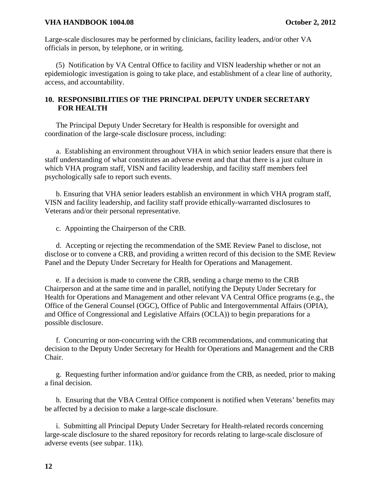Large-scale disclosures may be performed by clinicians, facility leaders, and/or other VA officials in person, by telephone, or in writing.

(5) Notification by VA Central Office to facility and VISN leadership whether or not an epidemiologic investigation is going to take place, and establishment of a clear line of authority, access, and accountability.

# **10. RESPONSIBILITIES OF THE PRINCIPAL DEPUTY UNDER SECRETARY FOR HEALTH**

The Principal Deputy Under Secretary for Health is responsible for oversight and coordination of the large-scale disclosure process, including:

a. Establishing an environment throughout VHA in which senior leaders ensure that there is staff understanding of what constitutes an adverse event and that that there is a just culture in which VHA program staff, VISN and facility leadership, and facility staff members feel psychologically safe to report such events.

b. Ensuring that VHA senior leaders establish an environment in which VHA program staff, VISN and facility leadership, and facility staff provide ethically-warranted disclosures to Veterans and/or their personal representative.

c. Appointing the Chairperson of the CRB.

d. Accepting or rejecting the recommendation of the SME Review Panel to disclose, not disclose or to convene a CRB, and providing a written record of this decision to the SME Review Panel and the Deputy Under Secretary for Health for Operations and Management.

e. If a decision is made to convene the CRB, sending a charge memo to the CRB Chairperson and at the same time and in parallel, notifying the Deputy Under Secretary for Health for Operations and Management and other relevant VA Central Office programs (e.g., the Office of the General Counsel (OGC), Office of Public and Intergovernmental Affairs (OPIA), and Office of Congressional and Legislative Affairs (OCLA)) to begin preparations for a possible disclosure.

f. Concurring or non-concurring with the CRB recommendations, and communicating that decision to the Deputy Under Secretary for Health for Operations and Management and the CRB Chair.

g. Requesting further information and/or guidance from the CRB, as needed, prior to making a final decision.

h. Ensuring that the VBA Central Office component is notified when Veterans' benefits may be affected by a decision to make a large-scale disclosure.

i. Submitting all Principal Deputy Under Secretary for Health-related records concerning large-scale disclosure to the shared repository for records relating to large-scale disclosure of adverse events (see subpar. 11k).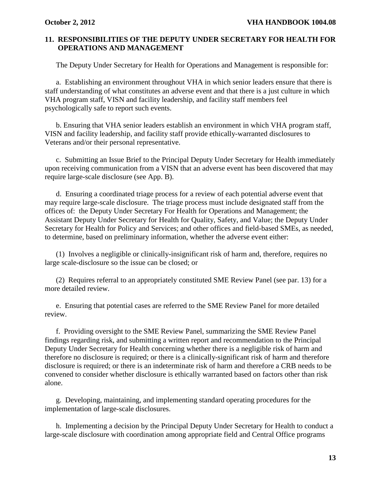# **11. RESPONSIBILITIES OF THE DEPUTY UNDER SECRETARY FOR HEALTH FOR OPERATIONS AND MANAGEMENT**

The Deputy Under Secretary for Health for Operations and Management is responsible for:

a. Establishing an environment throughout VHA in which senior leaders ensure that there is staff understanding of what constitutes an adverse event and that there is a just culture in which VHA program staff, VISN and facility leadership, and facility staff members feel psychologically safe to report such events.

b. Ensuring that VHA senior leaders establish an environment in which VHA program staff, VISN and facility leadership, and facility staff provide ethically-warranted disclosures to Veterans and/or their personal representative.

c. Submitting an Issue Brief to the Principal Deputy Under Secretary for Health immediately upon receiving communication from a VISN that an adverse event has been discovered that may require large-scale disclosure (see App. B).

d. Ensuring a coordinated triage process for a review of each potential adverse event that may require large-scale disclosure. The triage process must include designated staff from the offices of: the Deputy Under Secretary For Health for Operations and Management; the Assistant Deputy Under Secretary for Health for Quality, Safety, and Value; the Deputy Under Secretary for Health for Policy and Services; and other offices and field-based SMEs, as needed, to determine, based on preliminary information, whether the adverse event either:

(1) Involves a negligible or clinically-insignificant risk of harm and, therefore, requires no large scale-disclosure so the issue can be closed; or

(2) Requires referral to an appropriately constituted SME Review Panel (see par. 13) for a more detailed review.

e. Ensuring that potential cases are referred to the SME Review Panel for more detailed review.

f. Providing oversight to the SME Review Panel, summarizing the SME Review Panel findings regarding risk, and submitting a written report and recommendation to the Principal Deputy Under Secretary for Health concerning whether there is a negligible risk of harm and therefore no disclosure is required; or there is a clinically-significant risk of harm and therefore disclosure is required; or there is an indeterminate risk of harm and therefore a CRB needs to be convened to consider whether disclosure is ethically warranted based on factors other than risk alone.

g. Developing, maintaining, and implementing standard operating procedures for the implementation of large-scale disclosures.

h. Implementing a decision by the Principal Deputy Under Secretary for Health to conduct a large-scale disclosure with coordination among appropriate field and Central Office programs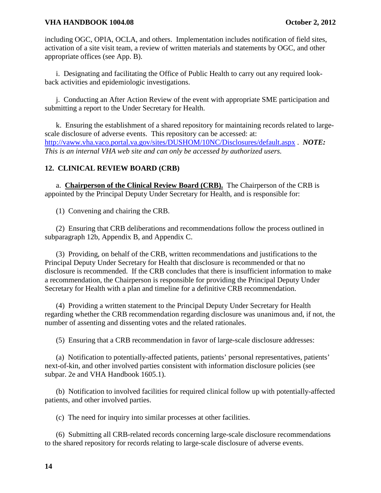including OGC, OPIA, OCLA, and others. Implementation includes notification of field sites, activation of a site visit team, a review of written materials and statements by OGC, and other appropriate offices (see App. B).

i. Designating and facilitating the Office of Public Health to carry out any required lookback activities and epidemiologic investigations.

j. Conducting an After Action Review of the event with appropriate SME participation and submitting a report to the Under Secretary for Health.

k. Ensuring the establishment of a shared repository for maintaining records related to largescale disclosure of adverse events. This repository can be accessed: at: <http://vaww.vha.vaco.portal.va.gov/sites/DUSHOM/10NC/Disclosures/default.aspx> . *NOTE: This is an internal VHA web site and can only be accessed by authorized users.*

### **12. CLINICAL REVIEW BOARD (CRB)**

a. **Chairperson of the Clinical Review Board (CRB).** The Chairperson of the CRB is appointed by the Principal Deputy Under Secretary for Health, and is responsible for:

(1) Convening and chairing the CRB.

(2) Ensuring that CRB deliberations and recommendations follow the process outlined in subparagraph 12b, Appendix B, and Appendix C.

(3) Providing, on behalf of the CRB, written recommendations and justifications to the Principal Deputy Under Secretary for Health that disclosure is recommended or that no disclosure is recommended. If the CRB concludes that there is insufficient information to make a recommendation, the Chairperson is responsible for providing the Principal Deputy Under Secretary for Health with a plan and timeline for a definitive CRB recommendation.

(4) Providing a written statement to the Principal Deputy Under Secretary for Health regarding whether the CRB recommendation regarding disclosure was unanimous and, if not, the number of assenting and dissenting votes and the related rationales.

(5) Ensuring that a CRB recommendation in favor of large-scale disclosure addresses:

(a) Notification to potentially-affected patients, patients' personal representatives, patients' next-of-kin, and other involved parties consistent with information disclosure policies (see subpar. 2e and VHA Handbook 1605.1).

(b) Notification to involved facilities for required clinical follow up with potentially-affected patients, and other involved parties.

(c) The need for inquiry into similar processes at other facilities.

(6) Submitting all CRB-related records concerning large-scale disclosure recommendations to the shared repository for records relating to large-scale disclosure of adverse events.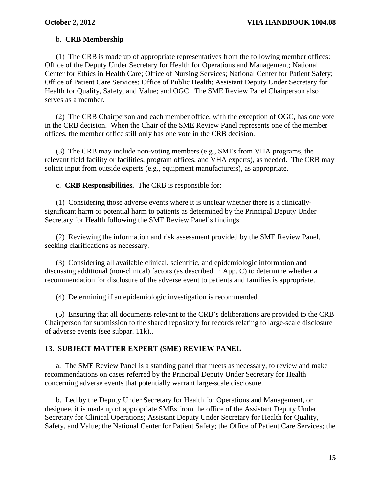# b. **CRB Membership**

(1) The CRB is made up of appropriate representatives from the following member offices: Office of the Deputy Under Secretary for Health for Operations and Management; National Center for Ethics in Health Care; Office of Nursing Services; National Center for Patient Safety; Office of Patient Care Services; Office of Public Health; Assistant Deputy Under Secretary for Health for Quality, Safety, and Value; and OGC. The SME Review Panel Chairperson also serves as a member.

(2) The CRB Chairperson and each member office, with the exception of OGC, has one vote in the CRB decision. When the Chair of the SME Review Panel represents one of the member offices, the member office still only has one vote in the CRB decision.

(3) The CRB may include non-voting members (e.g., SMEs from VHA programs, the relevant field facility or facilities, program offices, and VHA experts), as needed. The CRB may solicit input from outside experts (e.g., equipment manufacturers), as appropriate.

c. **CRB Responsibilities.** The CRB is responsible for:

(1) Considering those adverse events where it is unclear whether there is a clinicallysignificant harm or potential harm to patients as determined by the Principal Deputy Under Secretary for Health following the SME Review Panel's findings.

(2) Reviewing the information and risk assessment provided by the SME Review Panel, seeking clarifications as necessary.

(3) Considering all available clinical, scientific, and epidemiologic information and discussing additional (non-clinical) factors (as described in App. C) to determine whether a recommendation for disclosure of the adverse event to patients and families is appropriate.

(4) Determining if an epidemiologic investigation is recommended.

(5) Ensuring that all documents relevant to the CRB's deliberations are provided to the CRB Chairperson for submission to the shared repository for records relating to large-scale disclosure of adverse events (see subpar. 11k)..

### **13. SUBJECT MATTER EXPERT (SME) REVIEW PANEL**

a. The SME Review Panel is a standing panel that meets as necessary, to review and make recommendations on cases referred by the Principal Deputy Under Secretary for Health concerning adverse events that potentially warrant large-scale disclosure.

b. Led by the Deputy Under Secretary for Health for Operations and Management, or designee, it is made up of appropriate SMEs from the office of the Assistant Deputy Under Secretary for Clinical Operations; Assistant Deputy Under Secretary for Health for Quality, Safety, and Value; the National Center for Patient Safety; the Office of Patient Care Services; the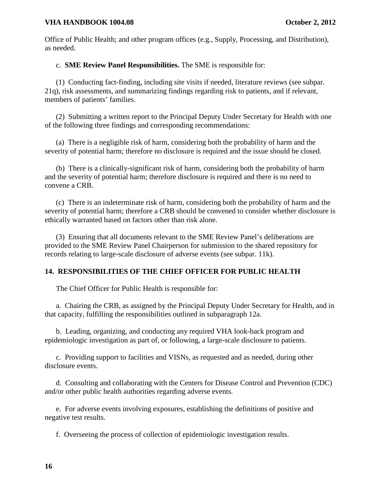Office of Public Health; and other program offices (e.g., Supply, Processing, and Distribution), as needed.

# c. **SME Review Panel Responsibilities.** The SME is responsible for:

(1) Conducting fact-finding, including site visits if needed, literature reviews (see subpar. 21q), risk assessments, and summarizing findings regarding risk to patients, and if relevant, members of patients' families.

(2) Submitting a written report to the Principal Deputy Under Secretary for Health with one of the following three findings and corresponding recommendations:

(a) There is a negligible risk of harm, considering both the probability of harm and the severity of potential harm; therefore no disclosure is required and the issue should be closed.

(b) There is a clinically-significant risk of harm, considering both the probability of harm and the severity of potential harm; therefore disclosure is required and there is no need to convene a CRB.

(c) There is an indeterminate risk of harm, considering both the probability of harm and the severity of potential harm; therefore a CRB should be convened to consider whether disclosure is ethically warranted based on factors other than risk alone.

(3) Ensuring that all documents relevant to the SME Review Panel's deliberations are provided to the SME Review Panel Chairperson for submission to the shared repository for records relating to large-scale disclosure of adverse events (see subpar. 11k).

# **14. RESPONSIBILITIES OF THE CHIEF OFFICER FOR PUBLIC HEALTH**

The Chief Officer for Public Health is responsible for:

a. Chairing the CRB, as assigned by the Principal Deputy Under Secretary for Health, and in that capacity, fulfilling the responsibilities outlined in subparagraph 12a.

b. Leading, organizing, and conducting any required VHA look-back program and epidemiologic investigation as part of, or following, a large-scale disclosure to patients.

c. Providing support to facilities and VISNs, as requested and as needed, during other disclosure events.

d. Consulting and collaborating with the Centers for Disease Control and Prevention (CDC) and/or other public health authorities regarding adverse events.

e. For adverse events involving exposures, establishing the definitions of positive and negative test results.

f. Overseeing the process of collection of epidemiologic investigation results.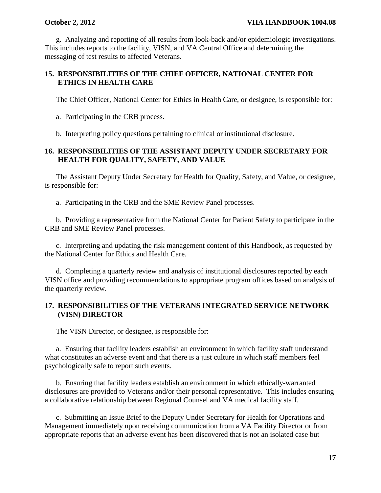g. Analyzing and reporting of all results from look-back and/or epidemiologic investigations. This includes reports to the facility, VISN, and VA Central Office and determining the messaging of test results to affected Veterans.

# **15. RESPONSIBILITIES OF THE CHIEF OFFICER, NATIONAL CENTER FOR ETHICS IN HEALTH CARE**

The Chief Officer, National Center for Ethics in Health Care, or designee, is responsible for:

a. Participating in the CRB process.

b. Interpreting policy questions pertaining to clinical or institutional disclosure.

# **16. RESPONSIBILITIES OF THE ASSISTANT DEPUTY UNDER SECRETARY FOR HEALTH FOR QUALITY, SAFETY, AND VALUE**

The Assistant Deputy Under Secretary for Health for Quality, Safety, and Value, or designee, is responsible for:

a. Participating in the CRB and the SME Review Panel processes.

b. Providing a representative from the National Center for Patient Safety to participate in the CRB and SME Review Panel processes.

c. Interpreting and updating the risk management content of this Handbook, as requested by the National Center for Ethics and Health Care.

d. Completing a quarterly review and analysis of institutional disclosures reported by each VISN office and providing recommendations to appropriate program offices based on analysis of the quarterly review.

# **17. RESPONSIBILITIES OF THE VETERANS INTEGRATED SERVICE NETWORK (VISN) DIRECTOR**

The VISN Director, or designee, is responsible for:

a. Ensuring that facility leaders establish an environment in which facility staff understand what constitutes an adverse event and that there is a just culture in which staff members feel psychologically safe to report such events.

b. Ensuring that facility leaders establish an environment in which ethically-warranted disclosures are provided to Veterans and/or their personal representative. This includes ensuring a collaborative relationship between Regional Counsel and VA medical facility staff.

c. Submitting an Issue Brief to the Deputy Under Secretary for Health for Operations and Management immediately upon receiving communication from a VA Facility Director or from appropriate reports that an adverse event has been discovered that is not an isolated case but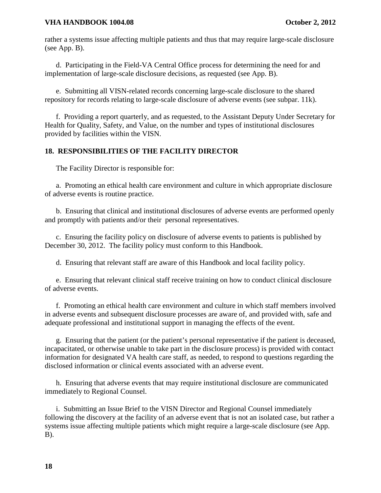rather a systems issue affecting multiple patients and thus that may require large-scale disclosure (see App. B).

d. Participating in the Field-VA Central Office process for determining the need for and implementation of large-scale disclosure decisions, as requested (see App. B).

e. Submitting all VISN-related records concerning large-scale disclosure to the shared repository for records relating to large-scale disclosure of adverse events (see subpar. 11k).

f. Providing a report quarterly, and as requested, to the Assistant Deputy Under Secretary for Health for Quality, Safety, and Value, on the number and types of institutional disclosures provided by facilities within the VISN.

# **18. RESPONSIBILITIES OF THE FACILITY DIRECTOR**

The Facility Director is responsible for:

a. Promoting an ethical health care environment and culture in which appropriate disclosure of adverse events is routine practice.

b. Ensuring that clinical and institutional disclosures of adverse events are performed openly and promptly with patients and/or their personal representatives.

c. Ensuring the facility policy on disclosure of adverse events to patients is published by December 30, 2012. The facility policy must conform to this Handbook.

d. Ensuring that relevant staff are aware of this Handbook and local facility policy.

e. Ensuring that relevant clinical staff receive training on how to conduct clinical disclosure of adverse events.

f. Promoting an ethical health care environment and culture in which staff members involved in adverse events and subsequent disclosure processes are aware of, and provided with, safe and adequate professional and institutional support in managing the effects of the event.

g. Ensuring that the patient (or the patient's personal representative if the patient is deceased, incapacitated, or otherwise unable to take part in the disclosure process) is provided with contact information for designated VA health care staff, as needed, to respond to questions regarding the disclosed information or clinical events associated with an adverse event.

h. Ensuring that adverse events that may require institutional disclosure are communicated immediately to Regional Counsel.

i. Submitting an Issue Brief to the VISN Director and Regional Counsel immediately following the discovery at the facility of an adverse event that is not an isolated case, but rather a systems issue affecting multiple patients which might require a large-scale disclosure (see App. B).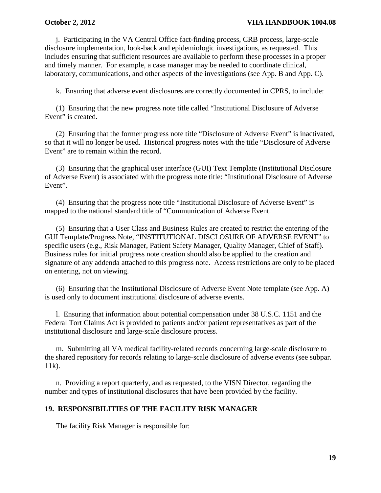j. Participating in the VA Central Office fact-finding process, CRB process, large-scale disclosure implementation, look-back and epidemiologic investigations, as requested. This includes ensuring that sufficient resources are available to perform these processes in a proper and timely manner. For example, a case manager may be needed to coordinate clinical, laboratory, communications, and other aspects of the investigations (see App. B and App. C).

k. Ensuring that adverse event disclosures are correctly documented in CPRS, to include:

(1) Ensuring that the new progress note title called "Institutional Disclosure of Adverse Event" is created.

(2) Ensuring that the former progress note title "Disclosure of Adverse Event" is inactivated, so that it will no longer be used. Historical progress notes with the title "Disclosure of Adverse Event" are to remain within the record.

(3) Ensuring that the graphical user interface (GUI) Text Template (Institutional Disclosure of Adverse Event) is associated with the progress note title: "Institutional Disclosure of Adverse Event".

(4) Ensuring that the progress note title "Institutional Disclosure of Adverse Event" is mapped to the national standard title of "Communication of Adverse Event.

(5) Ensuring that a User Class and Business Rules are created to restrict the entering of the GUI Template/Progress Note, "INSTITUTIONAL DISCLOSURE OF ADVERSE EVENT" to specific users (e.g., Risk Manager, Patient Safety Manager, Quality Manager, Chief of Staff). Business rules for initial progress note creation should also be applied to the creation and signature of any addenda attached to this progress note. Access restrictions are only to be placed on entering, not on viewing.

(6) Ensuring that the Institutional Disclosure of Adverse Event Note template (see App. A) is used only to document institutional disclosure of adverse events.

l. Ensuring that information about potential compensation under 38 U.S.C. 1151 and the Federal Tort Claims Act is provided to patients and/or patient representatives as part of the institutional disclosure and large-scale disclosure process.

m. Submitting all VA medical facility-related records concerning large-scale disclosure to the shared repository for records relating to large-scale disclosure of adverse events (see subpar. 11k).

n. Providing a report quarterly, and as requested, to the VISN Director, regarding the number and types of institutional disclosures that have been provided by the facility.

# **19. RESPONSIBILITIES OF THE FACILITY RISK MANAGER**

The facility Risk Manager is responsible for: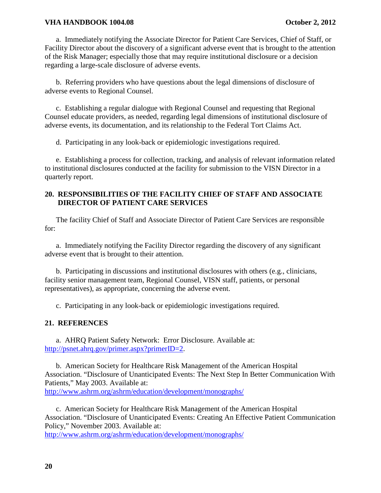a. Immediately notifying the Associate Director for Patient Care Services, Chief of Staff, or Facility Director about the discovery of a significant adverse event that is brought to the attention of the Risk Manager; especially those that may require institutional disclosure or a decision regarding a large-scale disclosure of adverse events.

b. Referring providers who have questions about the legal dimensions of disclosure of adverse events to Regional Counsel.

c. Establishing a regular dialogue with Regional Counsel and requesting that Regional Counsel educate providers, as needed, regarding legal dimensions of institutional disclosure of adverse events, its documentation, and its relationship to the Federal Tort Claims Act.

d. Participating in any look-back or epidemiologic investigations required.

e. Establishing a process for collection, tracking, and analysis of relevant information related to institutional disclosures conducted at the facility for submission to the VISN Director in a quarterly report.

# **20. RESPONSIBILITIES OF THE FACILITY CHIEF OF STAFF AND ASSOCIATE DIRECTOR OF PATIENT CARE SERVICES**

The facility Chief of Staff and Associate Director of Patient Care Services are responsible for:

a. Immediately notifying the Facility Director regarding the discovery of any significant adverse event that is brought to their attention.

b. Participating in discussions and institutional disclosures with others (e.g., clinicians, facility senior management team, Regional Counsel, VISN staff, patients, or personal representatives), as appropriate, concerning the adverse event.

c. Participating in any look-back or epidemiologic investigations required.

### **21. REFERENCES**

a. AHRQ Patient Safety Network: Error Disclosure. Available at: [http://psnet.ahrq.gov/primer.aspx?primerID=2.](http://psnet.ahrq.gov/primer.aspx?primerID=2)

b. American Society for Healthcare Risk Management of the American Hospital Association. "Disclosure of Unanticipated Events: The Next Step In Better Communication With Patients," May 2003. Available at: <http://www.ashrm.org/ashrm/education/development/monographs/>

c. American Society for Healthcare Risk Management of the American Hospital Association. "Disclosure of Unanticipated Events: Creating An Effective Patient Communication Policy," November 2003. Available at:

<http://www.ashrm.org/ashrm/education/development/monographs/>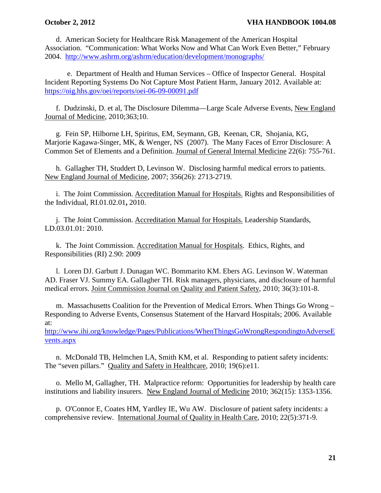d. American Society for Healthcare Risk Management of the American Hospital Association. "Communication: What Works Now and What Can Work Even Better," February 2004. <http://www.ashrm.org/ashrm/education/development/monographs/>

e. Department of Health and Human Services – Office of Inspector General. Hospital Incident Reporting Systems Do Not Capture Most Patient Harm, January 2012. Available at: <https://oig.hhs.gov/oei/reports/oei-06-09-00091.pdf>

f. Dudzinski, D. et al, The Disclosure Dilemma—Large Scale Adverse Events, New England Journal of Medicine, 2010;363;10.

g. Fein SP, Hilborne LH, Spiritus, EM, Seymann, GB, Keenan, CR, Shojania, KG, Marjorie Kagawa-Singer, MK, & Wenger, NS (2007). The Many Faces of Error Disclosure: A Common Set of Elements and a Definition. Journal of General Internal Medicine 22(6): 755-761.

h. Gallagher TH, Studdert D, Levinson W. Disclosing harmful medical errors to patients. New England Journal of Medicine, 2007; 356(26): 2713-2719.

i. The Joint Commission. Accreditation Manual for Hospitals. Rights and Responsibilities of the Individual, RI.01.02.01**,** 2010.

j. The Joint Commission. Accreditation Manual for Hospitals. Leadership Standards, LD.03.01.01: 2010.

k. The Joint Commission. Accreditation Manual for Hospitals. Ethics, Rights, and Responsibilities (RI) 2.90: 2009

l. Loren DJ. Garbutt J. Dunagan WC. Bommarito KM. Ebers AG. Levinson W. Waterman AD. Fraser VJ. Summy EA. Gallagher TH. Risk managers, physicians, and disclosure of harmful medical errors. Joint Commission Journal on Quality and Patient Safety, 2010; 36(3):101-8.

m. Massachusetts Coalition for the Prevention of Medical Errors. When Things Go Wrong – Responding to Adverse Events, Consensus Statement of the Harvard Hospitals; 2006. Available at:

[http://www.ihi.org/knowledge/Pages/Publications/WhenThingsGoWrongRespondingtoAdverseE](http://www.ihi.org/knowledge/Pages/Publications/WhenThingsGoWrongRespondingtoAdverseEvents.aspx) [vents.aspx](http://www.ihi.org/knowledge/Pages/Publications/WhenThingsGoWrongRespondingtoAdverseEvents.aspx)

n. McDonald TB, Helmchen LA, Smith KM, et al. Responding to patient safety incidents: The "seven pillars." Quality and Safety in Healthcare, 2010; 19(6):e11.

o. Mello M, Gallagher, TH. Malpractice reform: Opportunities for leadership by health care institutions and liability insurers. New England Journal of Medicine 2010; 362(15): 1353-1356.

p. [O'Connor E,](http://www.ncbi.nlm.nih.gov/pubmed?term=%22O) [Coates HM,](http://www.ncbi.nlm.nih.gov/pubmed?term=%22Coates%20HM%22%5BAuthor%5D) [Yardley IE,](http://www.ncbi.nlm.nih.gov/pubmed?term=%22Yardley%20IE%22%5BAuthor%5D) [Wu AW.](http://www.ncbi.nlm.nih.gov/pubmed?term=%22Wu%20AW%22%5BAuthor%5D) Disclosure of patient safety incidents: a comprehensive review. International Journal of Quality in Health Care, 2010; 22(5):371-9.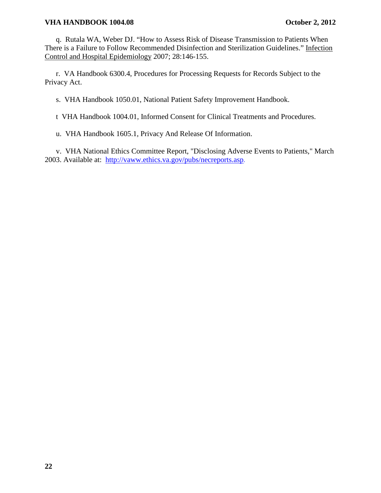q. Rutala WA, Weber DJ. "How to Assess Risk of Disease Transmission to Patients When There is a Failure to Follow Recommended Disinfection and Sterilization Guidelines." Infection Control and Hospital Epidemiology 2007; 28:146-155.

r. VA Handbook 6300.4, Procedures for Processing Requests for Records Subject to the Privacy Act.

s. VHA Handbook 1050.01, National Patient Safety Improvement Handbook.

t VHA Handbook 1004.01, Informed Consent for Clinical Treatments and Procedures.

u. VHA Handbook 1605.1, Privacy And Release Of Information.

v. VHA National Ethics Committee Report, "Disclosing Adverse Events to Patients," March 2003. Available at: <http://vaww.ethics.va.gov/pubs/necreports.asp>.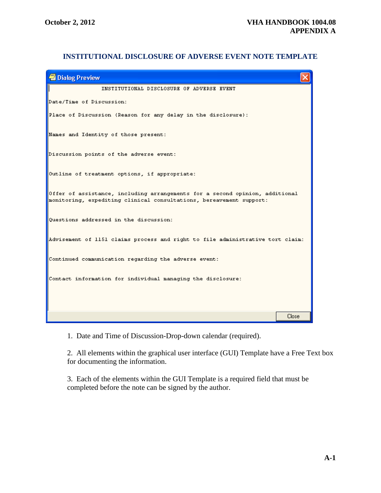# **INSTITUTIONAL DISCLOSURE OF ADVERSE EVENT NOTE TEMPLATE**

| <b>Dialog Preview</b>                                                                                                                               |       |  |
|-----------------------------------------------------------------------------------------------------------------------------------------------------|-------|--|
| INSTITUTIONAL DISCLOSURE OF ADVERSE EVENT                                                                                                           |       |  |
| Date/Time of Discussion:                                                                                                                            |       |  |
| Place of Discussion (Reason for any delay in the disclosure):                                                                                       |       |  |
| Names and Identity of those present:                                                                                                                |       |  |
| Discussion points of the adverse event:                                                                                                             |       |  |
| Outline of treatment options, if appropriate:                                                                                                       |       |  |
| Offer of assistance, including arrangements for a second opinion, additional<br>monitoring, expediting clinical consultations, bereavement support: |       |  |
| Questions addressed in the discussion:                                                                                                              |       |  |
| Advisement of 1151 claims process and right to file administrative tort claim:                                                                      |       |  |
| Continued communication regarding the adverse event:                                                                                                |       |  |
| Contact information for individual managing the disclosure:                                                                                         |       |  |
|                                                                                                                                                     |       |  |
|                                                                                                                                                     | Close |  |

1. Date and Time of Discussion-Drop-down calendar (required).

2. All elements within the graphical user interface (GUI) Template have a Free Text box for documenting the information.

3. Each of the elements within the GUI Template is a required field that must be completed before the note can be signed by the author.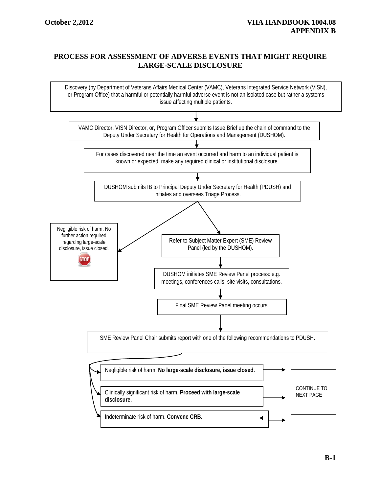# **PROCESS FOR ASSESSMENT OF ADVERSE EVENTS THAT MIGHT REQUIRE LARGE-SCALE DISCLOSURE**

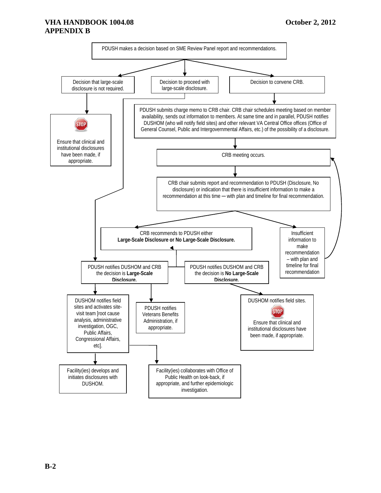# **VHA HANDBOOK 1004.08 October 2, 2012 APPENDIX B**

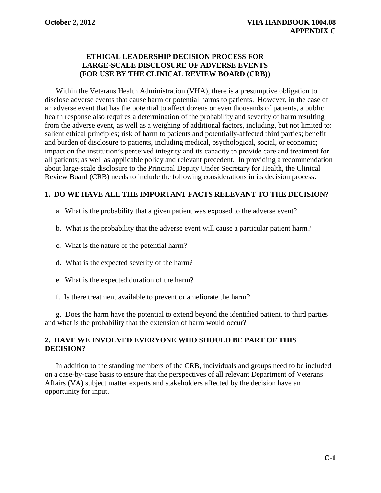# **ETHICAL LEADERSHIP DECISION PROCESS FOR LARGE-SCALE DISCLOSURE OF ADVERSE EVENTS (FOR USE BY THE CLINICAL REVIEW BOARD (CRB))**

Within the Veterans Health Administration (VHA), there is a presumptive obligation to disclose adverse events that cause harm or potential harms to patients. However, in the case of an adverse event that has the potential to affect dozens or even thousands of patients, a public health response also requires a determination of the probability and severity of harm resulting from the adverse event, as well as a weighing of additional factors, including, but not limited to: salient ethical principles; risk of harm to patients and potentially-affected third parties; benefit and burden of disclosure to patients, including medical, psychological, social, or economic; impact on the institution's perceived integrity and its capacity to provide care and treatment for all patients; as well as applicable policy and relevant precedent. In providing a recommendation about large-scale disclosure to the Principal Deputy Under Secretary for Health, the Clinical Review Board (CRB) needs to include the following considerations in its decision process:

# **1. DO WE HAVE ALL THE IMPORTANT FACTS RELEVANT TO THE DECISION?**

- a. What is the probability that a given patient was exposed to the adverse event?
- b. What is the probability that the adverse event will cause a particular patient harm?
- c. What is the nature of the potential harm?
- d. What is the expected severity of the harm?
- e. What is the expected duration of the harm?
- f. Is there treatment available to prevent or ameliorate the harm?

g. Does the harm have the potential to extend beyond the identified patient, to third parties and what is the probability that the extension of harm would occur?

# **2. HAVE WE INVOLVED EVERYONE WHO SHOULD BE PART OF THIS DECISION?**

In addition to the standing members of the CRB, individuals and groups need to be included on a case-by-case basis to ensure that the perspectives of all relevant Department of Veterans Affairs (VA) subject matter experts and stakeholders affected by the decision have an opportunity for input.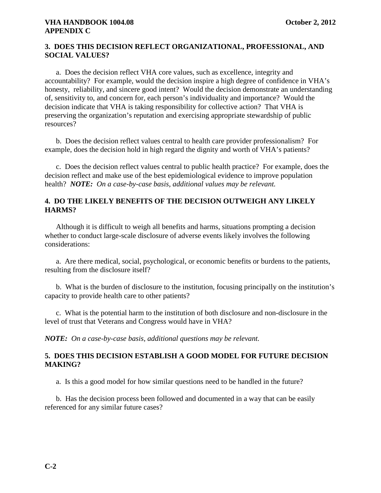# **3. DOES THIS DECISION REFLECT ORGANIZATIONAL, PROFESSIONAL, AND SOCIAL VALUES?**

a. Does the decision reflect VHA core values, such as excellence, integrity and accountability? For example, would the decision inspire a high degree of confidence in VHA's honesty, reliability, and sincere good intent? Would the decision demonstrate an understanding of, sensitivity to, and concern for, each person's individuality and importance? Would the decision indicate that VHA is taking responsibility for collective action? That VHA is preserving the organization's reputation and exercising appropriate stewardship of public resources?

b. Does the decision reflect values central to health care provider professionalism? For example, does the decision hold in high regard the dignity and worth of VHA's patients?

c. Does the decision reflect values central to public health practice? For example, does the decision reflect and make use of the best epidemiological evidence to improve population health? *NOTE: On a case-by-case basis, additional values may be relevant.*

# **4. DO THE LIKELY BENEFITS OF THE DECISION OUTWEIGH ANY LIKELY HARMS?**

Although it is difficult to weigh all benefits and harms, situations prompting a decision whether to conduct large-scale disclosure of adverse events likely involves the following considerations:

a. Are there medical, social, psychological, or economic benefits or burdens to the patients, resulting from the disclosure itself?

b. What is the burden of disclosure to the institution, focusing principally on the institution's capacity to provide health care to other patients?

c. What is the potential harm to the institution of both disclosure and non-disclosure in the level of trust that Veterans and Congress would have in VHA?

*NOTE: On a case-by-case basis, additional questions may be relevant.*

# **5. DOES THIS DECISION ESTABLISH A GOOD MODEL FOR FUTURE DECISION MAKING?**

a. Is this a good model for how similar questions need to be handled in the future?

b. Has the decision process been followed and documented in a way that can be easily referenced for any similar future cases?